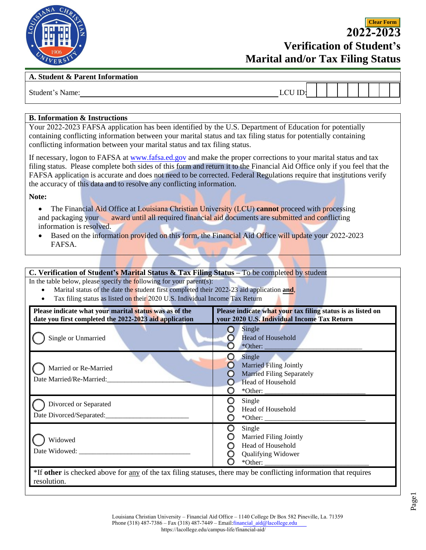

**2022-2023 Verification of Student's Marital and/or Tax Filing Status**

**Clear Form**

## **A. Student & Parent Information**

Student's Name: \_\_\_\_\_\_\_\_\_\_\_\_\_\_\_\_\_\_\_\_\_\_\_\_\_\_\_\_\_\_\_\_\_\_\_\_\_\_\_\_\_\_\_\_\_\_\_\_ LCU ID: \_\_\_\_\_\_\_\_\_\_\_\_\_\_\_\_\_\_\_\_\_\_

## **B. Information & Instructions**

containing conflicting information between your marital status and tax filing status for potentially containing conflicting information between your marital status and tax filing status. Your 2022-2023 FAFSA application has been identified by the U.S. Department of Education for potentially

If necessary, logon to FAFSA at [www.fafsa.ed.gov](http://www.fafsa.ed.gov/) and make the proper corrections to your marital status and tax filing status. Please complete both sides of this form and return it to the Financial Aid Offi[ce only if you feel that the](https://dream.csac.ca.gov/)  FAFSA application is accurate and does not need to be corrected. Federal Regulations require that institutions verify the accuracy of this data and to resolve any conflicting information.

**Note:** 

- The Financial Aid Office at Louisiana Christian University (LCU) **cannot** proceed with processing and packaging your award until all required financial aid documents are submitted and conflicting information is resolved.
- Based on the information provided on this form, the Financial Aid Office will update your 2022-2023 FAFSA.

**C. Verification of Student's Marital Status & Tax Filing Status –** To be completed by student

In the table below, please specify the following for your parent(s):

- Marital status of the date the student first completed their 2022-23 aid application **and**,
- Tax filing status as listed on their 2020 U.S. Individual Income Tax Return

| Please indicate what your marital status was as of the<br>date you first completed the 2022-2023 aid application                 | Please indicate what your tax filing status is as listed on<br>your 2020 U.S. Individual Income Tax Return  |
|----------------------------------------------------------------------------------------------------------------------------------|-------------------------------------------------------------------------------------------------------------|
| Single or Unmarried                                                                                                              | Single<br><b>Head of Household</b><br>$*$ Other: $\_\_$                                                     |
| Married or Re-Married<br>Date Married/Re-Married:                                                                                | Single<br><b>Married Filing Jointly</b><br><b>Married Filing Separately</b><br>Head of Household<br>*Other: |
| Divorced or Separated<br>Date Divorced/Separated:                                                                                | Single<br>Head of Household                                                                                 |
| Widowed<br>Date Widowed:                                                                                                         | Single<br><b>Married Filing Jointly</b><br>Head of Household<br>Qualifying Widower<br>$*$ Other: $\_\_$     |
| *If other is checked above for any of the tax filing statuses, there may be conflicting information that requires<br>resolution. |                                                                                                             |